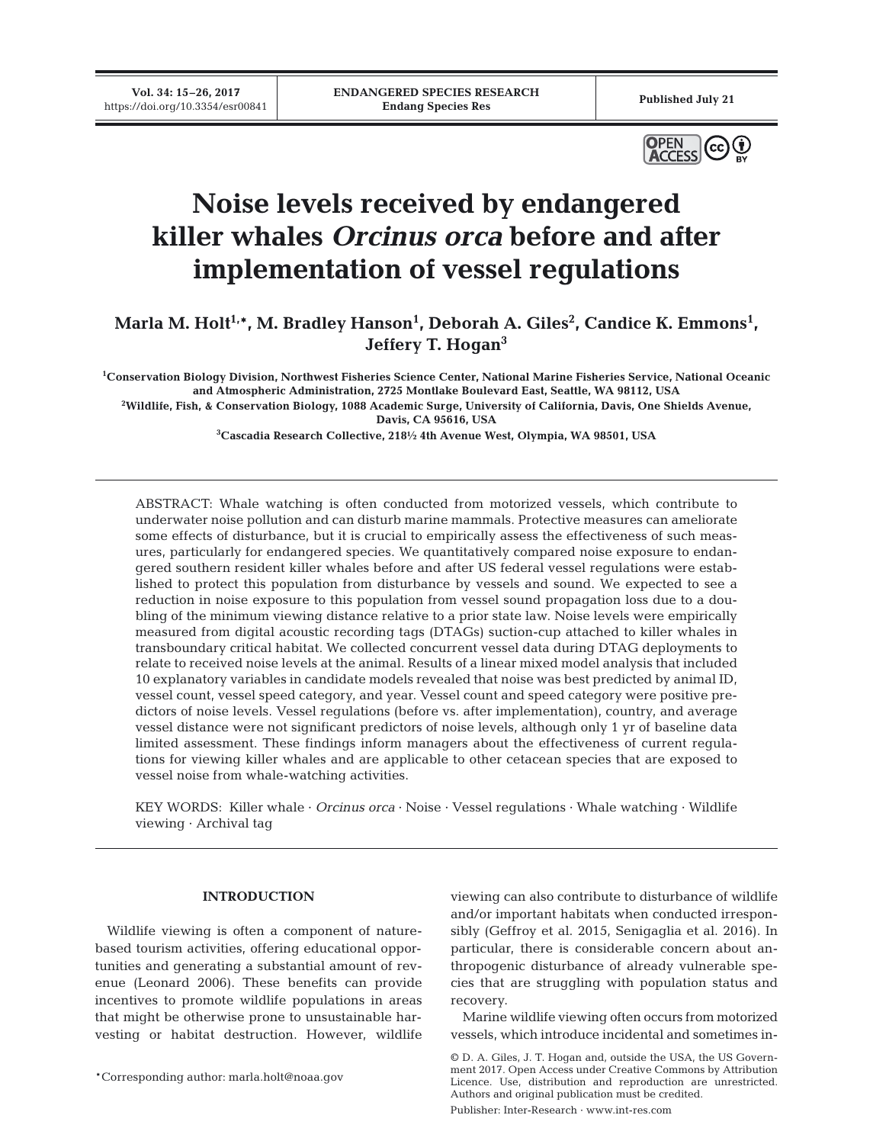**Vol. 34: 15–26, 2017**



# **Noise levels received by endangered killer whales** *Orcinus orca* **before and after implementation of vessel regulations**

Marla M. Holt<sup>1,</sup>\*, M. Bradley Hanson<sup>1</sup>, Deborah A. Giles<sup>2</sup>, Candice K. Emmons<sup>1</sup>, **Jeffery T. Hogan3**

**1 Conservation Biology Division, Northwest Fisheries Science Center, National Marine Fisheries Service, National Oceanic and Atmospheric Administration, 2725 Montlake Boulevard East, Seattle, WA 98112, USA 2 Wildlife, Fish, & Conservation Biology, 1088 Academic Surge, University of California, Davis, One Shields Avenue, Davis, CA 95616, USA**

**3 Cascadia Research Collective, 218½ 4th Avenue West, Olympia, WA 98501, USA**

ABSTRACT: Whale watching is often conducted from motorized vessels, which contribute to underwater noise pollution and can disturb marine mammals. Protective measures can ameliorate some effects of disturbance, but it is crucial to empirically assess the effectiveness of such measures, particularly for endangered species. We quantitatively compared noise exposure to endangered southern resident killer whales before and after US federal vessel regulations were established to protect this population from disturbance by vessels and sound. We expected to see a reduction in noise exposure to this population from vessel sound propagation loss due to a doubling of the minimum viewing distance relative to a prior state law. Noise levels were empirically measured from digital acoustic recording tags (DTAGs) suction-cup attached to killer whales in transboundary critical habitat. We collected concurrent vessel data during DTAG deployments to relate to received noise levels at the animal. Results of a linear mixed model analysis that included 10 explanatory variables in candidate models revealed that noise was best predicted by animal ID, vessel count, vessel speed category, and year. Vessel count and speed category were positive predictors of noise levels. Vessel regulations (before vs. after implementation), country, and average vessel distance were not significant predictors of noise levels, although only 1 yr of baseline data limited assessment. These findings inform managers about the effectiveness of current regulations for viewing killer whales and are applicable to other cetacean species that are exposed to vessel noise from whale-watching activities.

KEY WORDS: Killer whale · *Orcinus orca* · Noise · Vessel regulations · Whale watching · Wildlife viewing · Archival tag

# **INTRODUCTION**

Wildlife viewing is often a component of naturebased tourism activities, offering educational opportunities and generating a substantial amount of revenue (Leonard 2006). These benefits can provide incentives to promote wildlife populations in areas that might be otherwise prone to unsustainable harvesting or habitat destruction. However, wildlife

viewing can also contribute to disturbance of wildlife and/or important habitats when conducted irresponsibly (Geffroy et al. 2015, Senigaglia et al. 2016). In particular, there is considerable concern about anthropogenic disturbance of already vulnerable species that are struggling with population status and recovery.

Marine wildlife viewing often occurs from motorized vessels, which introduce incidental and sometimes in-

Publisher: Inter-Research · www.int-res.com

<sup>\*</sup>Corresponding author: marla.holt@noaa.gov

<sup>©</sup> D. A. Giles, J. T. Hogan and, outside the USA, the US Government 2017. Open Access under Creative Commons by Attribution Licence. Use, distribution and reproduction are unrestricted. Authors and original publication must be credited.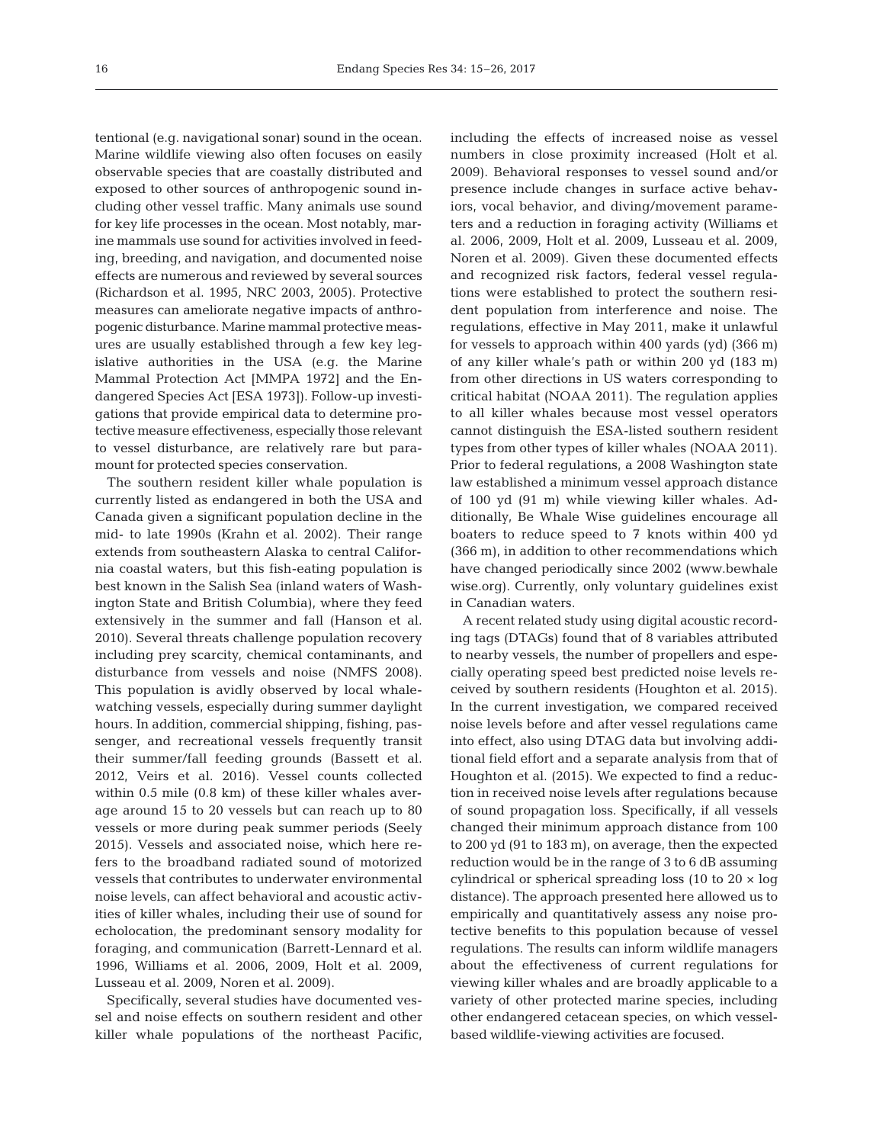tentional (e.g. navigational sonar) sound in the ocean. Marine wildlife viewing also often focuses on easily observable species that are coastally distributed and exposed to other sources of anthropogenic sound including other vessel traffic. Many animals use sound for key life processes in the ocean. Most notably, marine mammals use sound for activities involved in feeding, breeding, and navigation, and documented noise effects are numerous and reviewed by several sources (Richardson et al. 1995, NRC 2003, 2005). Protective measures can ameliorate negative impacts of anthropogenic disturbance. Marine mammal protective measures are usually established through a few key legislative authorities in the USA (e.g. the Marine Mammal Protection Act [MMPA 1972] and the Endangered Species Act [ESA 1973]). Follow-up investigations that provide empirical data to determine protective measure effectiveness, especially those relevant to vessel disturbance, are relatively rare but paramount for protected species conservation.

The southern resident killer whale population is currently listed as endangered in both the USA and Canada given a significant population decline in the mid- to late 1990s (Krahn et al. 2002). Their range extends from southeastern Alaska to central California coastal waters, but this fish-eating population is best known in the Salish Sea (inland waters of Washington State and British Columbia), where they feed extensively in the summer and fall (Hanson et al. 2010). Several threats challenge population recovery including prey scarcity, chemical contaminants, and disturbance from vessels and noise (NMFS 2008). This population is avidly observed by local whalewatching vessels, especially during summer daylight hours. In addition, commercial shipping, fishing, passenger, and recreational vessels frequently transit their summer/fall feeding grounds (Bassett et al. 2012, Veirs et al. 2016). Vessel counts collected within 0.5 mile (0.8 km) of these killer whales average around 15 to 20 vessels but can reach up to 80 vessels or more during peak summer periods (Seely 2015). Vessels and associated noise, which here refers to the broadband radiated sound of motorized vessels that contributes to underwater environmental noise levels, can affect behavioral and acoustic activities of killer whales, including their use of sound for echolocation, the predominant sensory modality for foraging, and communication (Barrett-Lennard et al. 1996, Williams et al. 2006, 2009, Holt et al. 2009, Lusseau et al. 2009, Noren et al. 2009).

Specifically, several studies have documented vessel and noise effects on southern resident and other killer whale populations of the northeast Pacific,

including the effects of increased noise as vessel numbers in close proximity increased (Holt et al. 2009). Behavioral responses to vessel sound and/or presence include changes in surface active behaviors, vocal behavior, and diving/movement parameters and a reduction in foraging activity (Williams et al. 2006, 2009, Holt et al. 2009, Lusseau et al. 2009, Noren et al. 2009). Given these documented effects and recognized risk factors, federal vessel regulations were established to protect the southern resident population from interference and noise. The regulations, effective in May 2011, make it unlawful for vessels to approach within 400 yards (yd) (366 m) of any killer whale's path or within 200 yd (183 m) from other directions in US waters corresponding to critical habitat (NOAA 2011). The regulation applies to all killer whales because most vessel operators cannot distinguish the ESA-listed southern resident types from other types of killer whales (NOAA 2011). Prior to federal regulations, a 2008 Washington state law established a minimum vessel approach distance of 100 yd (91 m) while viewing killer whales. Ad ditionally, Be Whale Wise guidelines encourage all boaters to reduce speed to 7 knots within 400 yd (366 m), in addition to other recommendations which have changed periodically since 2002 (www.bewhale wise. org). Currently, only voluntary guidelines exist in Canadian waters.

A recent related study using digital acoustic recording tags (DTAGs) found that of 8 variables attributed to nearby vessels, the number of propellers and especially operating speed best predicted noise levels received by southern residents (Houghton et al. 2015). In the current investigation, we compared received noise levels before and after vessel regulations came into effect, also using DTAG data but involving additional field effort and a separate analysis from that of Houghton et al. (2015). We expected to find a reduction in received noise levels after regulations because of sound propagation loss. Specifically, if all vessels changed their minimum approach distance from 100 to 200 yd (91 to 183 m), on average, then the expected reduction would be in the range of 3 to 6 dB assuming cylindrical or spherical spreading loss (10 to  $20 \times \log$ ) distance). The approach presented here allowed us to empirically and quantitatively assess any noise protective benefits to this population because of vessel regulations. The results can inform wildlife managers about the effectiveness of current regulations for viewing killer whales and are broadly applicable to a variety of other protected marine species, including other endangered cetacean species, on which vesselbased wildlife-viewing activities are focused.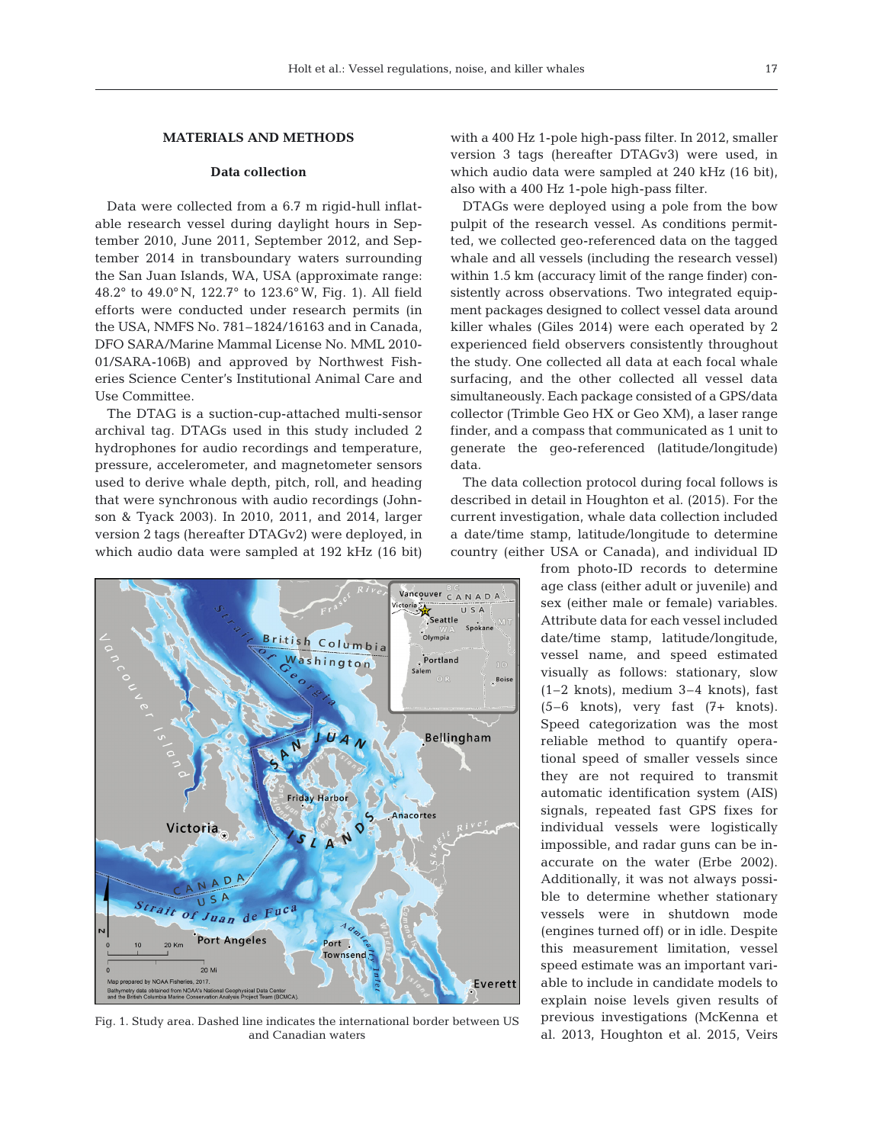# **MATERIALS AND METHODS**

## **Data collection**

Data were collected from a 6.7 m rigid-hull inflatable research vessel during daylight hours in September 2010, June 2011, September 2012, and September 2014 in transboundary waters surrounding the San Juan Islands, WA, USA (approximate range: 48.2° to 49.0° N, 122.7° to 123.6° W, Fig. 1). All field efforts were conducted under research permits (in the USA, NMFS No. 781–1824/16163 and in Canada, DFO SARA/Marine Mammal License No. MML 2010- 01/ SARA-106B) and approved by Northwest Fisheries Science Center's Institutional Animal Care and Use Committee.

The DTAG is a suction-cup-attached multi-sensor archival tag. DTAGs used in this study included 2 hydrophones for audio recordings and temperature, pressure, accelerometer, and magnetometer sensors used to derive whale depth, pitch, roll, and heading that were synchronous with audio recordings (Johnson & Tyack 2003). In 2010, 2011, and 2014, larger version 2 tags (hereafter DTAGv2) were deployed, in which audio data were sampled at 192 kHz (16 bit)



Fig. 1. Study area. Dashed line indicates the international border between US and Canadian waters

with a 400 Hz 1-pole high-pass filter. In 2012, smaller version 3 tags (hereafter DTAGv3) were used, in which audio data were sampled at 240 kHz (16 bit), also with a 400 Hz 1-pole high-pass filter.

DTAGs were deployed using a pole from the bow pulpit of the research vessel. As conditions permitted, we collected geo-referenced data on the tagged whale and all vessels (including the research vessel) within 1.5 km (accuracy limit of the range finder) consistently across observations. Two integrated equipment packages designed to collect vessel data around killer whales (Giles 2014) were each operated by 2 experienced field observers consistently throughout the study. One collected all data at each focal whale surfacing, and the other collected all vessel data simultaneously. Each package consisted of a GPS/data collector (Trimble Geo HX or Geo XM), a laser range finder, and a compass that communicated as 1 unit to generate the geo-referenced (latitude/longitude) data.

The data collection protocol during focal follows is described in detail in Houghton et al. (2015). For the current investigation, whale data collection included a date/time stamp, latitude/longitude to determine country (either USA or Canada), and individual ID

> from photo-ID records to determine age class (either adult or juvenile) and sex (either male or female) variables. Attribute data for each vessel included date/time stamp, latitude/longitude, vessel name, and speed estimated visually as follows: stationary, slow (1–2 knots), medium 3–4 knots), fast (5–6 knots), very fast (7+ knots). Speed categorization was the most reliable method to quantify operational speed of smaller vessels since they are not required to transmit automatic identification system (AIS) signals, repeated fast GPS fixes for individual vessels were logistically impossible, and radar guns can be inaccurate on the water (Erbe 2002). Additionally, it was not always possible to determine whether stationary vessels were in shutdown mode (engines turned off) or in idle. Despite this measurement limitation, vessel speed estimate was an important variable to include in candidate models to explain noise levels given results of previous investigations (McKenna et al. 2013, Houghton et al. 2015, Veirs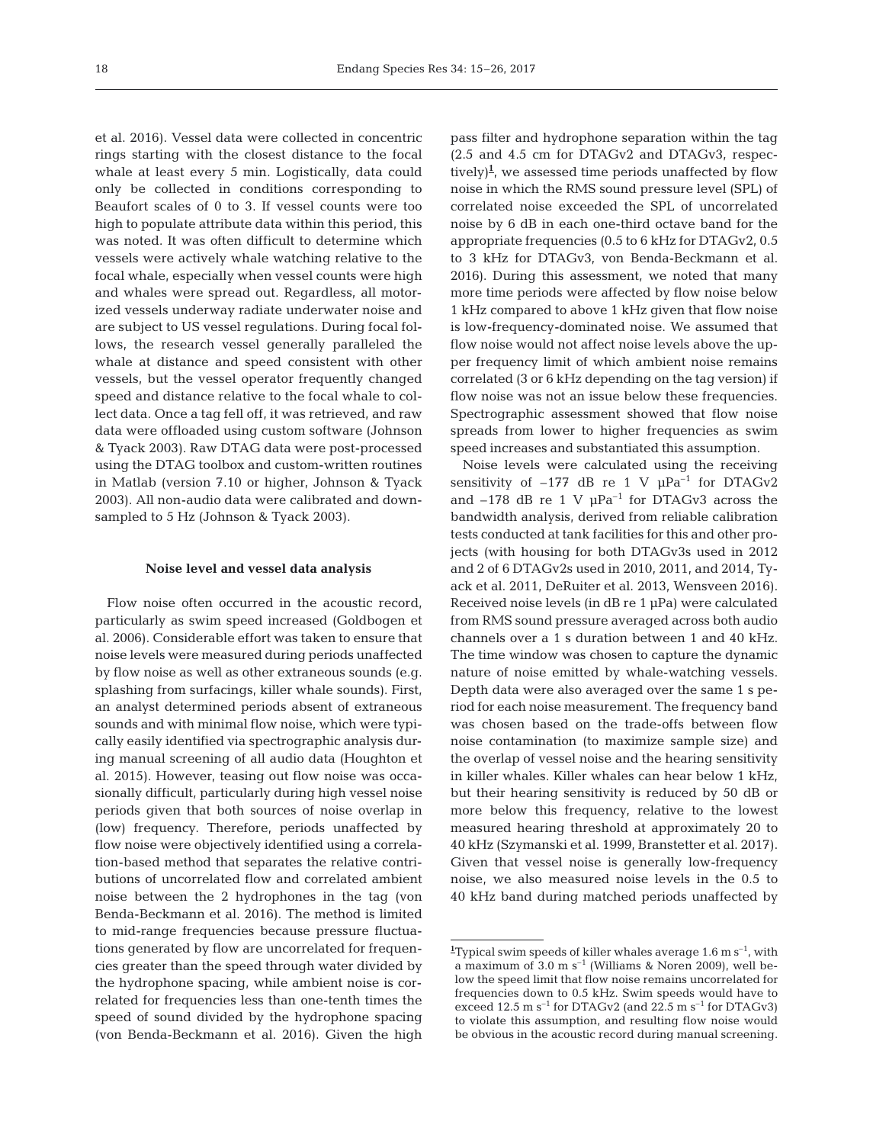et al. 2016). Vessel data were collected in concentric rings starting with the closest distance to the focal whale at least every 5 min. Logistically, data could only be collected in conditions corresponding to Beaufort scales of 0 to 3. If vessel counts were too high to populate attribute data within this period, this was noted. It was often difficult to determine which vessels were actively whale watching relative to the focal whale, especially when vessel counts were high and whales were spread out. Regardless, all motorized vessels underway radiate underwater noise and are subject to US vessel regulations. During focal follows, the research vessel generally paralleled the whale at distance and speed consistent with other vessels, but the vessel operator frequently changed speed and distance relative to the focal whale to collect data. Once a tag fell off, it was retrieved, and raw data were offloaded using custom software (Johnson & Tyack 2003). Raw DTAG data were post-processed using the DTAG toolbox and custom-written routines in Matlab (version 7.10 or higher, Johnson & Tyack 2003). All non-audio data were calibrated and downsampled to 5 Hz (Johnson & Tyack 2003).

### **Noise level and vessel data analysis**

Flow noise often occurred in the acoustic record, particularly as swim speed increased (Goldbogen et al. 2006). Considerable effort was taken to ensure that noise levels were measured during periods unaffected by flow noise as well as other extraneous sounds (e.g. splashing from surfacings, killer whale sounds). First, an analyst determined periods absent of extraneous sounds and with minimal flow noise, which were typically easily identified via spectrographic analysis during manual screening of all audio data (Houghton et al. 2015). However, teasing out flow noise was occasionally difficult, particularly during high vessel noise periods given that both sources of noise overlap in (low) frequency. Therefore, periods unaffected by flow noise were objectively identified using a correlation-based method that separates the relative contributions of uncorrelated flow and correlated ambient noise between the 2 hydrophones in the tag (von Benda-Beckmann et al. 2016). The method is limited to mid-range frequencies because pressure fluctuations generated by flow are uncorrelated for frequencies greater than the speed through water divided by the hydrophone spacing, while ambient noise is correlated for frequencies less than one-tenth times the speed of sound divided by the hydrophone spacing (von Benda-Beckmann et al. 2016). Given the high

pass filter and hydrophone separation within the tag (2.5 and 4.5 cm for DTAGv2 and DTAGv3, respectively)**<sup>1</sup>** , we assessed time periods unaffected by flow noise in which the RMS sound pressure level (SPL) of correlated noise exceeded the SPL of uncorrelated noise by 6 dB in each one-third octave band for the appropriate frequencies (0.5 to 6 kHz for DTAGv2, 0.5 to 3 kHz for DTAGv3, von Benda-Beckmann et al. 2016). During this assessment, we noted that many more time periods were affected by flow noise below 1 kHz compared to above 1 kHz given that flow noise is low-frequency-dominated noise. We assumed that flow noise would not affect noise levels above the upper frequency limit of which ambient noise remains correlated (3 or 6 kHz depending on the tag version) if flow noise was not an issue below these frequencies. Spectrographic assessment showed that flow noise spreads from lower to higher frequencies as swim speed increases and substantiated this assumption.

Noise levels were calculated using the receiving sensitivity of  $-177$  dB re 1 V  $\mu$ Pa<sup>-1</sup> for DTAGv2 and  $-178$  dB re 1 V  $\mu$ Pa<sup>-1</sup> for DTAGv3 across the bandwidth analysis, derived from reliable calibration tests conducted at tank facilities for this and other projects (with housing for both DTAGv3s used in 2012 and 2 of 6 DTAGv2s used in 2010, 2011, and 2014, Tyack et al. 2011, DeRuiter et al. 2013, Wensveen 2016). Received noise levels (in dB re 1 µPa) were calculated from RMS sound pressure averaged across both audio channels over a 1 s duration between 1 and 40 kHz. The time window was chosen to capture the dynamic nature of noise emitted by whale-watching vessels. Depth data were also averaged over the same 1 s period for each noise measurement. The frequency band was chosen based on the trade-offs between flow noise contamination (to maximize sample size) and the overlap of vessel noise and the hearing sensitivity in killer whales. Killer whales can hear below 1 kHz, but their hearing sensitivity is reduced by 50 dB or more below this frequency, relative to the lowest measured hearing threshold at approximately 20 to 40 kHz (Szymanski et al. 1999, Branstetter et al. 2017). Given that vessel noise is generally low-frequency noise, we also measured noise levels in the 0.5 to 40 kHz band during matched periods unaffected by

**<sup>1</sup>** Typical swim speeds of killer whales average 1.6 m s–1, with a maximum of  $3.0 \text{ m s}^{-1}$  (Williams & Noren 2009), well below the speed limit that flow noise remains uncorrelated for frequencies down to 0.5 kHz. Swim speeds would have to exceed 12.5 m  $s^{-1}$  for DTAGv2 (and 22.5 m  $s^{-1}$  for DTAGv3) to violate this assumption, and resulting flow noise would be obvious in the acoustic record during manual screening.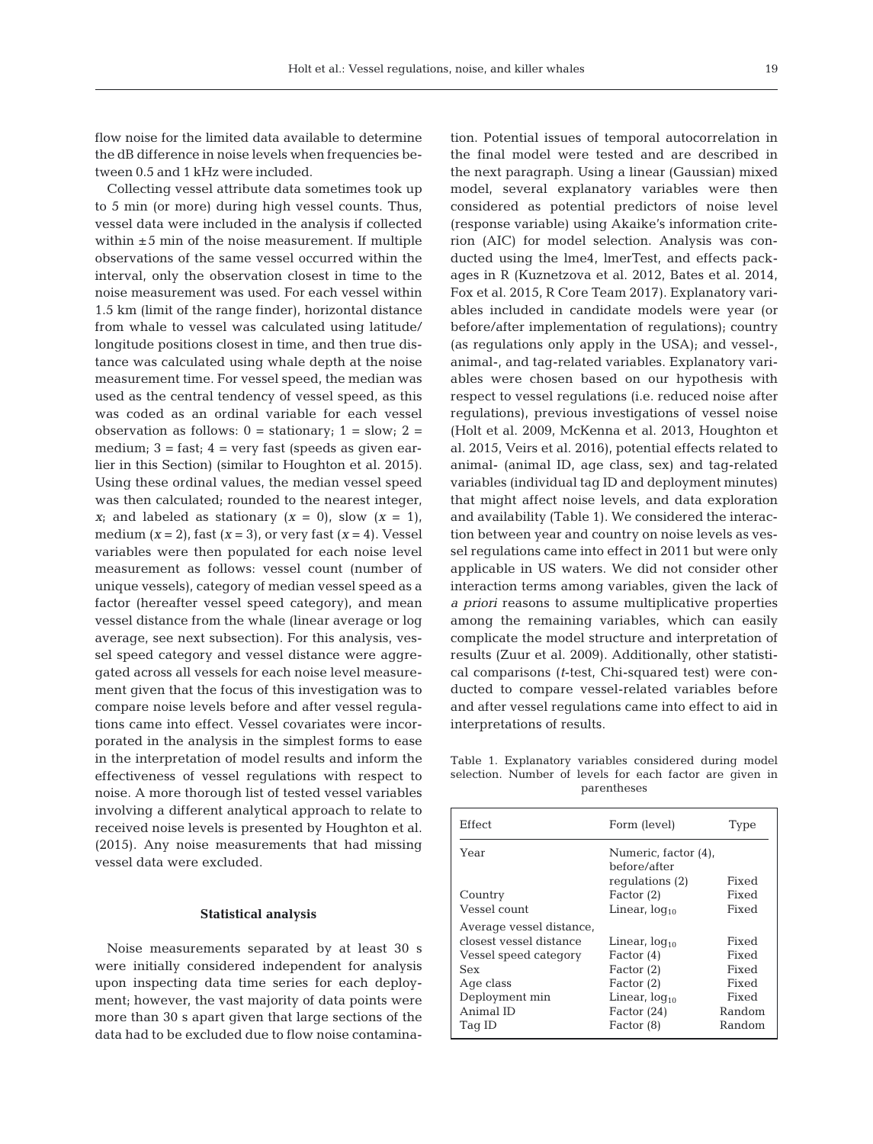flow noise for the limited data available to determine the dB difference in noise levels when frequencies between 0.5 and 1 kHz were included.

Collecting vessel attribute data sometimes took up to 5 min (or more) during high vessel counts. Thus, vessel data were included in the analysis if collected within  $\pm 5$  min of the noise measurement. If multiple observations of the same vessel occurred within the interval, only the observation closest in time to the noise measurement was used. For each vessel within 1.5 km (limit of the range finder), horizontal distance from whale to vessel was calculated using latitude/ longitude positions closest in time, and then true distance was calculated using whale depth at the noise measurement time. For vessel speed, the median was used as the central tendency of vessel speed, as this was coded as an ordinal variable for each vessel observation as follows:  $0 =$  stationary;  $1 =$  slow;  $2 =$ medium;  $3 =$  fast;  $4 =$  very fast (speeds as given earlier in this Section) (similar to Houghton et al. 2015). Using these ordinal values, the median vessel speed was then calculated; rounded to the nearest integer,  $x_i$  and labeled as stationary  $(x = 0)$ , slow  $(x = 1)$ , medium  $(x = 2)$ , fast  $(x = 3)$ , or very fast  $(x = 4)$ . Vessel variables were then populated for each noise level measurement as follows: vessel count (number of unique vessels), category of median vessel speed as a factor (hereafter vessel speed category), and mean vessel distance from the whale (linear average or log average, see next subsection). For this analysis, vessel speed category and vessel distance were aggregated across all vessels for each noise level measurement given that the focus of this investigation was to compare noise levels before and after vessel regulations came into effect. Vessel covariates were incorporated in the analysis in the simplest forms to ease in the interpretation of model results and inform the effectiveness of vessel regulations with respect to noise. A more thorough list of tested vessel variables involving a different analytical approach to relate to received noise levels is presented by Houghton et al. (2015). Any noise measurements that had missing vessel data were excluded.

#### **Statistical analysis**

Noise measurements separated by at least 30 s were initially considered independent for analysis upon inspecting data time series for each deployment; however, the vast majority of data points were more than 30 s apart given that large sections of the data had to be excluded due to flow noise contamination. Potential issues of temporal autocorrelation in the final model were tested and are described in the next paragraph. Using a linear (Gaussian) mixed model, several explanatory variables were then considered as potential predictors of noise level (response variable) using Akaike's information criterion (AIC) for model selection. Analysis was conducted using the lme4, lmerTest, and effects packages in R (Kuznetzova et al. 2012, Bates et al. 2014, Fox et al. 2015, R Core Team 2017). Explanatory variables included in candidate models were year (or before/after implementation of regulations); country (as regulations only apply in the USA); and vessel-, animal-, and tag-related variables. Explanatory variables were chosen based on our hypothesis with respect to vessel regulations (i.e. reduced noise after regulations), previous investigations of vessel noise (Holt et al. 2009, McKenna et al. 2013, Houghton et al. 2015, Veirs et al. 2016), potential effects related to animal- (animal ID, age class, sex) and tag-related variables (individual tag ID and deployment minutes) that might affect noise levels, and data exploration and availability (Table 1). We considered the interaction between year and country on noise levels as vessel regulations came into effect in 2011 but were only applicable in US waters. We did not consider other interaction terms among variables, given the lack of *a priori* reasons to assume multiplicative properties among the remaining variables, which can easily complicate the model structure and interpretation of results (Zuur et al. 2009). Additionally, other statistical comparisons (*t*-test, Chi-squared test) were conducted to compare vessel-related variables before and after vessel regulations came into effect to aid in interpretations of results.

Table 1. Explanatory variables considered during model selection. Number of levels for each factor are given in parentheses

| Effect                                                                                                                                    | Form (level)                                                                                                        | Type                                                          |
|-------------------------------------------------------------------------------------------------------------------------------------------|---------------------------------------------------------------------------------------------------------------------|---------------------------------------------------------------|
| Year                                                                                                                                      | Numeric, factor (4),<br>before/after<br>regulations (2)                                                             | Fixed                                                         |
| Country                                                                                                                                   | Factor $(2)$                                                                                                        | Fixed                                                         |
| Vessel count                                                                                                                              | Linear, $log_{10}$                                                                                                  | Fixed                                                         |
| Average vessel distance,<br>closest vessel distance<br>Vessel speed category<br>Sex<br>Age class<br>Deployment min<br>Animal ID<br>Tag ID | Linear, $log_{10}$<br>Factor $(4)$<br>Factor (2)<br>Factor $(2)$<br>Linear, $log_{10}$<br>Factor (24)<br>Factor (8) | Fixed<br>Fixed<br>Fixed<br>Fixed<br>Fixed<br>Random<br>Random |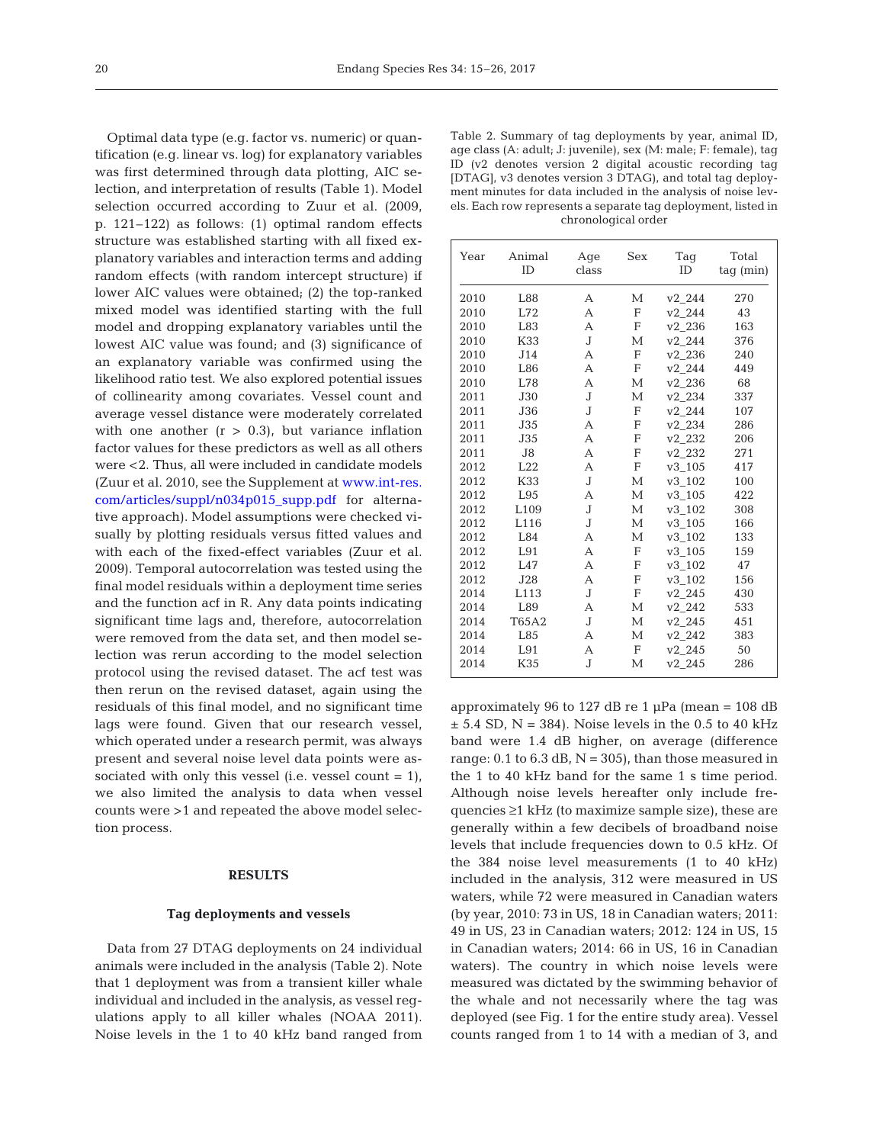Optimal data type (e.g. factor vs. numeric) or quantification (e.g. linear vs. log) for explanatory variables was first determined through data plotting, AIC selection, and interpretation of results (Table 1). Model selection occurred according to Zuur et al. (2009, p. 121–122) as follows: (1) optimal random effects structure was established starting with all fixed explanatory variables and interaction terms and adding random effects (with random intercept structure) if lower AIC values were obtained; (2) the top-ranked mixed model was identified starting with the full model and dropping explanatory variables until the lowest AIC value was found; and (3) significance of an explanatory variable was confirmed using the likelihood ratio test. We also explored potential issues of collinearity among covariates. Vessel count and average vessel distance were moderately correlated with one another  $(r > 0.3)$ , but variance inflation factor values for these predictors as well as all others were <2. Thus, all were included in candidate models (Zuur et al. 2010, see the Supplement at [www. int-res.](http://www.int-res.com/articles/suppl/n034p015_supp.pdf) com/articles/suppl/n034p015\_supp.pdf for alternative approach). Model assumptions were checked visually by plotting residuals versus fitted values and with each of the fixed-effect variables (Zuur et al. 2009). Temporal autocorrelation was tested using the final model residuals within a deployment time series and the function acf in R. Any data points indicating significant time lags and, therefore, autocorrelation were removed from the data set, and then model selection was rerun according to the model selection protocol using the revised dataset. The acf test was then rerun on the revised dataset, again using the residuals of this final model, and no significant time lags were found. Given that our research vessel, which operated under a research permit, was always present and several noise level data points were associated with only this vessel (i.e. vessel count  $= 1$ ), we also limited the analysis to data when vessel counts were >1 and repeated the above model selection process.

# **RESULTS**

#### **Tag deployments and vessels**

Data from 27 DTAG deployments on 24 individual animals were included in the analysis (Table 2). Note that 1 deployment was from a transient killer whale individual and included in the analysis, as vessel regulations apply to all killer whales (NOAA 2011). Noise levels in the 1 to 40 kHz band ranged from

| Table 2. Summary of tag deployments by year, animal ID,          |
|------------------------------------------------------------------|
| age class (A: adult; J: juvenile), sex (M: male; F: female), tag |
| ID (v2 denotes version 2 digital acoustic recording tag          |
| [DTAG], v3 denotes version 3 DTAG], and total tag deploy-        |
| ment minutes for data included in the analysis of noise lev-     |
| els. Each row represents a separate tag deployment, listed in    |
| chronological order                                              |

| Year | Animal<br>ID.    | Aqe<br>class   | Sex          | Taq<br>ID  | Total<br>tag (min) |
|------|------------------|----------------|--------------|------------|--------------------|
| 2010 | L88              | А              | М            | v2 244     | 270                |
| 2010 | L72              | А              | F            | $v2_{244}$ | 43                 |
| 2010 | L83              | А              | F            | v2 236     | 163                |
| 2010 | K33              | J.             | М            | v2 244     | 376                |
| 2010 | J14              | А              | F            | $v2_{236}$ | 240                |
| 2010 | L86              | А              | F            | v2 244     | 449                |
| 2010 | L78              | А              | М            | v2 236     | 68                 |
| 2011 | J30              | $\overline{J}$ | $\mathbf{M}$ | v2 234     | 337                |
| 2011 | J36              | J              | F            | v2 244     | 107                |
| 2011 | J35              | А              | F            | v2 234     | 286                |
| 2011 | J35              | А              | F            | v2 232     | 206                |
| 2011 | J8               | А              | F            | v2 232     | 271                |
| 2012 | L22              | А              | F            | v3 105     | 417                |
| 2012 | K33              | $\mathbf{J}$   | М            | v3 102     | 100                |
| 2012 | L95              | А              | М            | v3 105     | 422                |
| 2012 | L <sub>109</sub> | J              | М            | v3 102     | 308                |
| 2012 | L116             | $\overline{J}$ | М            | v3 105     | 166                |
| 2012 | L84              | А              | М            | v3 102     | 133                |
| 2012 | L91              | А              | F            | v3 105     | 159                |
| 2012 | L47              | А              | F            | v3 102     | 47                 |
| 2012 | J28              | А              | F            | v3 102     | 156                |
| 2014 | L113             | J              | F            | v2 245     | 430                |
| 2014 | L89              | А              | М            | v2 242     | 533                |
| 2014 | T65A2            | J              | М            | $v2_{245}$ | 451                |
| 2014 | L85              | А              | М            | v2 242     | 383                |
| 2014 | L91              | А              | F            | v2 245     | 50                 |
| 2014 | K35              | J.             | М            | v2 245     | 286                |

approximately 96 to 127 dB re 1  $\mu$ Pa (mean = 108 dB  $\pm$  5.4 SD, N = 384). Noise levels in the 0.5 to 40 kHz band were 1.4 dB higher, on average (difference range: 0.1 to 6.3 dB,  $N = 305$ ), than those measured in the 1 to 40 kHz band for the same 1 s time period. Although noise levels hereafter only include frequencies ≥1 kHz (to maximize sample size), these are generally within a few decibels of broadband noise levels that include frequencies down to 0.5 kHz. Of the 384 noise level measurements (1 to 40 kHz) included in the analysis, 312 were measured in US waters, while 72 were measured in Canadian waters (by year, 2010: 73 in US, 18 in Canadian waters; 2011: 49 in US, 23 in Canadian waters; 2012: 124 in US, 15 in Canadian waters; 2014: 66 in US, 16 in Canadian waters). The country in which noise levels were measured was dictated by the swimming behavior of the whale and not necessarily where the tag was deployed (see Fig. 1 for the entire study area). Vessel counts ranged from 1 to 14 with a median of 3, and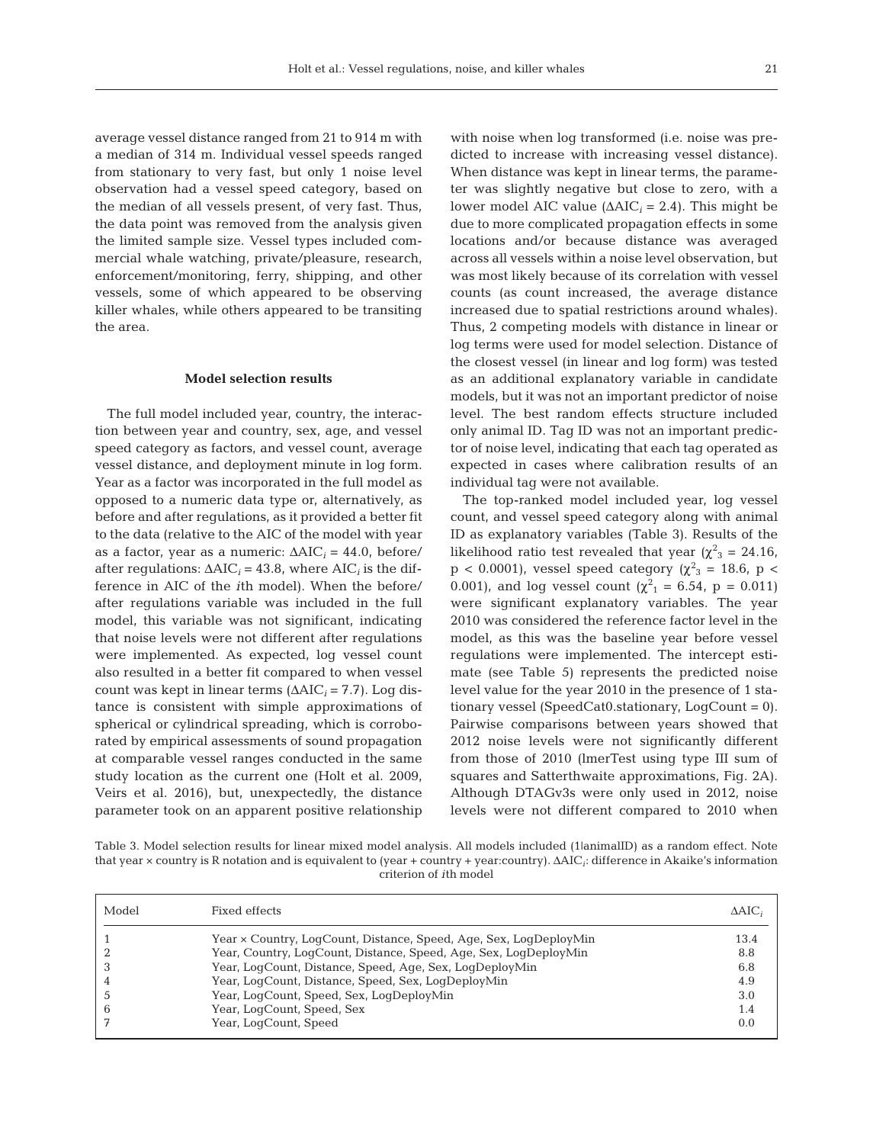average vessel distance ranged from 21 to 914 m with a median of 314 m. Individual vessel speeds ranged from stationary to very fast, but only 1 noise level observation had a vessel speed category, based on the median of all vessels present, of very fast. Thus, the data point was removed from the analysis given the limited sample size. Vessel types included commercial whale watching, private/pleasure, research, enforcement/monitoring, ferry, shipping, and other vessels, some of which appeared to be observing killer whales, while others appeared to be transiting the area.

## **Model selection results**

The full model included year, country, the interaction between year and country, sex, age, and vessel speed category as factors, and vessel count, average vessel distance, and deployment minute in log form. Year as a factor was incorporated in the full model as opposed to a numeric data type or, alternatively, as before and after regulations, as it provided a better fit to the data (relative to the AIC of the model with year as a factor, year as a numeric: ΔAIC*<sup>i</sup>* = 44.0, before/ after regulations:  $\Delta AIC_i = 43.8$ , where  $AIC_i$  is the difference in AIC of the *i*th model). When the before/ after regulations variable was included in the full model, this variable was not significant, indicating that noise levels were not different after regulations were implemented. As expected, log vessel count also resulted in a better fit compared to when vessel count was kept in linear terms (ΔAIC*<sup>i</sup>* = 7.7). Log distance is consistent with simple approximations of spherical or cylindrical spreading, which is corroborated by empirical assessments of sound propagation at comparable vessel ranges conducted in the same study location as the current one (Holt et al. 2009, Veirs et al. 2016), but, unexpectedly, the distance parameter took on an apparent positive relationship with noise when log transformed (i.e. noise was predicted to increase with increasing vessel distance). When distance was kept in linear terms, the parameter was slightly negative but close to zero, with a lower model AIC value ( $\Delta AIC_i = 2.4$ ). This might be due to more complicated propagation effects in some locations and/or because distance was averaged across all vessels within a noise level observation, but was most likely because of its correlation with vessel counts (as count increased, the average distance increased due to spatial restrictions around whales). Thus, 2 competing models with distance in linear or log terms were used for model selection. Distance of the closest vessel (in linear and log form) was tested as an additional explanatory variable in candidate models, but it was not an important predictor of noise level. The best random effects structure included only animal ID. Tag ID was not an important predictor of noise level, indicating that each tag operated as expected in cases where calibration results of an individual tag were not available.

The top-ranked model included year, log vessel count, and vessel speed category along with animal ID as explanatory variables (Table 3). Results of the likelihood ratio test revealed that year ( $\chi^2$ <sub>3</sub> = 24.16,  $p < 0.0001$ ), vessel speed category ( $\chi^2$ <sub>3</sub> = 18.6, p < 0.001), and log vessel count ( $\chi^2$ <sub>1</sub> = 6.54, p = 0.011) were significant explanatory variables. The year 2010 was considered the reference factor level in the model, as this was the baseline year before vessel regulations were implemented. The intercept estimate (see Table 5) represents the predicted noise level value for the year 2010 in the presence of 1 stationary vessel (SpeedCat0.stationary, LogCount = 0). Pairwise comparisons between years showed that 2012 noise levels were not significantly different from those of 2010 (lmerTest using type III sum of squares and Satterthwaite approximations, Fig. 2A). Although DTAGv3s were only used in 2012, noise levels were not different compared to 2010 when

Table 3. Model selection results for linear mixed model analysis. All models included (1|animalID) as a random effect. Note that year × country is R notation and is equivalent to (year + country + year:country). ΔAIC*i*: difference in Akaike's information criterion of *i*th model

| Model | Fixed effects                                                     | $\Delta AIC_i$ |
|-------|-------------------------------------------------------------------|----------------|
|       | Year × Country, LogCount, Distance, Speed, Age, Sex, LogDeployMin | 13.4           |
|       | Year, Country, LogCount, Distance, Speed, Age, Sex, LogDeployMin  | 8.8            |
|       | Year, LogCount, Distance, Speed, Age, Sex, LogDeployMin           | 6.8            |
|       | Year, LogCount, Distance, Speed, Sex, LogDeployMin                | 4.9            |
|       | Year, LogCount, Speed, Sex, LogDeployMin                          | 3.0            |
| b     | Year, LogCount, Speed, Sex                                        | 1.4            |
|       | Year, LogCount, Speed                                             | 0.0            |
|       |                                                                   |                |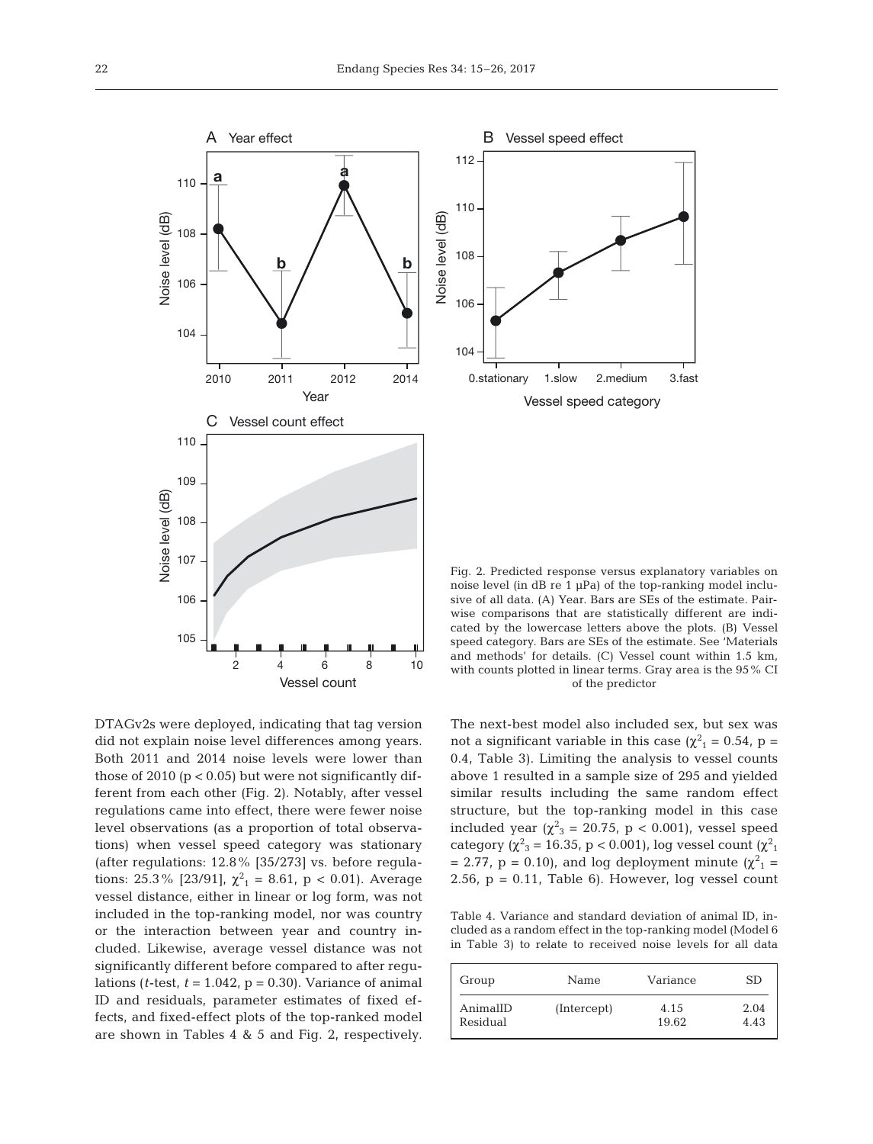112

110

108

Noise level (dB)

Noise level (dB)

106

104



Year 2010 2011 2012 2014

C Vessel count effect

**b b**

**a a**

A Year effect

110

108

106

Noise level (dB)

Noise level (dB)

104

110

109

108

Noise level (dB)

Noise level (dB)

107

106

Fig. 2. Predicted response versus explanatory variables on noise level (in dB re 1 µPa) of the top-ranking model inclusive of all data. (A) Year. Bars are SEs of the estimate. Pairwise comparisons that are statistically different are indicated by the lowercase letters above the plots. (B) Vessel speed category. Bars are SEs of the estimate. See 'Materials and methods' for details. (C) Vessel count within 1.5 km, with counts plotted in linear terms. Gray area is the 95% CI of the predictor

Vessel speed category 0.stationary 1.slow 2.medium 3.fast

B Vessel speed effect

The next-best model also included sex, but sex was not a significant variable in this case ( $\chi^2$ <sub>1</sub> = 0.54, p = 0.4, Table 3). Limiting the analysis to vessel counts above 1 resulted in a sample size of 295 and yielded similar results including the same random effect structure, but the top-ranking model in this case included year ( $\chi^2$ <sub>3</sub> = 20.75, p < 0.001), vessel speed category ( $\chi^2$ <sub>3</sub> = 16.35, p < 0.001), log vessel count ( $\chi^2$ <sub>1</sub> = 2.77,  $p = 0.10$ , and log deployment minute ( $\chi^2$ <sub>1</sub> = 2.56,  $p = 0.11$ , Table 6). However, log vessel count

Table 4. Variance and standard deviation of animal ID, included as a random effect in the top-ranking model (Model 6 in Table 3) to relate to received noise levels for all data

| Group    | Name        | Variance | <b>SD</b> |
|----------|-------------|----------|-----------|
| AnimalID | (Intercept) | 4.15     | 2.04      |
| Residual |             | 19.62    | 4.43      |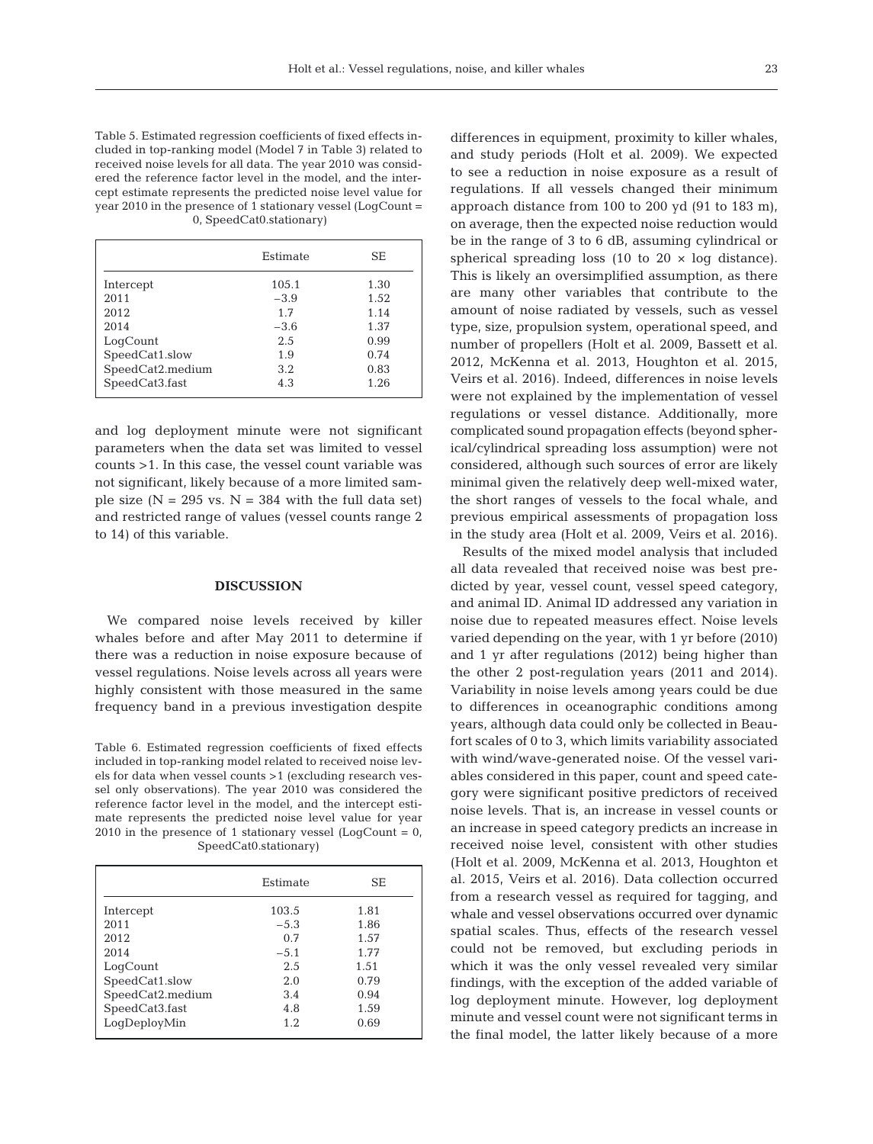Table 5. Estimated regression coefficients of fixed effects included in top-ranking model (Model 7 in Table 3) related to received noise levels for all data. The year 2010 was considered the reference factor level in the model, and the intercept estimate represents the predicted noise level value for year 2010 in the presence of 1 stationary vessel (LogCount = 0, SpeedCat0.stationary)

|                  | Estimate | SЕ   |
|------------------|----------|------|
| Intercept        | 105.1    | 1.30 |
| 2011             | $-3.9$   | 1.52 |
| 2012             | 1.7      | 1.14 |
| 2014             | $-3.6$   | 1.37 |
| LogCount         | 2.5      | 0.99 |
| SpeedCat1.slow   | 1.9      | 0.74 |
| SpeedCat2.medium | 3.2      | 0.83 |
| SpeedCat3.fast   | 4.3      | 1.26 |

and log deployment minute were not significant parameters when the data set was limited to vessel counts >1. In this case, the vessel count variable was not significant, likely because of a more limited sample size ( $N = 295$  vs.  $N = 384$  with the full data set) and restricted range of values (vessel counts range 2 to 14) of this variable.

## **DISCUSSION**

We compared noise levels received by killer whales before and after May 2011 to determine if there was a reduction in noise exposure because of vessel regulations. Noise levels across all years were highly consistent with those measured in the same frequency band in a previous investigation despite

Table 6. Estimated regression coefficients of fixed effects included in top-ranking model related to received noise levels for data when vessel counts >1 (excluding research vessel only observations). The year 2010 was considered the reference factor level in the model, and the intercept estimate represents the predicted noise level value for year 2010 in the presence of 1 stationary vessel (LogCount =  $0$ , SpeedCat0.stationary)

|                  | Estimate | SЕ   |
|------------------|----------|------|
| Intercept        | 103.5    | 1.81 |
| 2011             | $-5.3$   | 1.86 |
| 2012             | 0.7      | 1.57 |
| 2014             | $-5.1$   | 1.77 |
| LogCount         | 2.5      | 1.51 |
| SpeedCat1.slow   | 2.0      | 0.79 |
| SpeedCat2.medium | 3.4      | 0.94 |
| SpeedCat3.fast   | 4.8      | 1.59 |
| LogDeployMin     | 1.2      | 0.69 |

differences in equipment, proximity to killer whales, and study periods (Holt et al. 2009). We expected to see a reduction in noise exposure as a result of re gulations. If all vessels changed their minimum approach distance from 100 to 200 yd (91 to 183 m), on average, then the expected noise reduction would be in the range of 3 to 6 dB, assuming cylindrical or spherical spreading loss (10 to 20  $\times$  log distance). This is likely an oversimplified assumption, as there are many other variables that contribute to the amount of noise radiated by vessels, such as vessel type, size, propulsion system, operational speed, and number of propellers (Holt et al. 2009, Bassett et al. 2012, McKenna et al. 2013, Houghton et al. 2015, Veirs et al. 2016). Indeed, differences in noise levels were not explained by the implementation of vessel regulations or vessel distance. Additionally, more complicated sound propagation effects (beyond spherical/ cylindrical spreading loss assumption) were not considered, although such sources of error are likely minimal given the relatively deep well-mixed water, the short ranges of vessels to the focal whale, and previous empirical assessments of propagation loss in the study area (Holt et al. 2009, Veirs et al. 2016).

Results of the mixed model analysis that included all data revealed that received noise was best predicted by year, vessel count, vessel speed category, and animal ID. Animal ID addressed any variation in noise due to repeated measures effect. Noise levels varied depending on the year, with 1 yr before (2010) and 1 yr after regulations (2012) being higher than the other 2 post-regulation years (2011 and 2014). Variability in noise levels among years could be due to differences in oceanographic conditions among years, although data could only be collected in Beaufort scales of 0 to 3, which limits variability associated with wind/wave-generated noise. Of the vessel variables considered in this paper, count and speed category were significant positive predictors of received noise levels. That is, an increase in vessel counts or an increase in speed category predicts an increase in received noise level, consistent with other studies (Holt et al. 2009, McKenna et al. 2013, Houghton et al. 2015, Veirs et al. 2016). Data collection occurred from a research vessel as required for tagging, and whale and vessel observations occurred over dynamic spatial scales. Thus, effects of the research vessel could not be removed, but excluding periods in which it was the only vessel revealed very similar findings, with the exception of the added variable of log deployment minute. However, log deployment minute and vessel count were not significant terms in the final model, the latter likely because of a more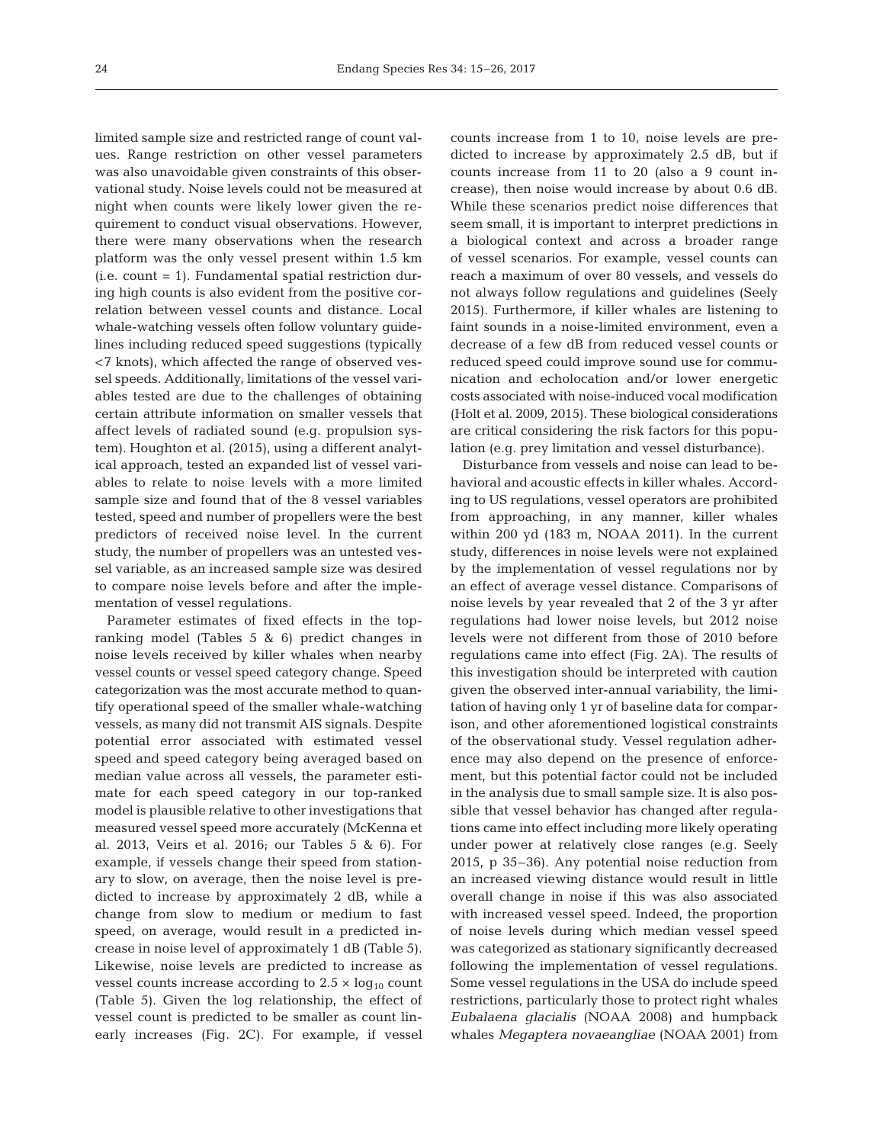limited sample size and restricted range of count values. Range restriction on other vessel parameters was also unavoidable given constraints of this observational study. Noise levels could not be measured at night when counts were likely lower given the re quirement to conduct visual observations. However, there were many observations when the research platform was the only vessel present within 1.5 km (i.e. count = 1). Fundamental spatial restriction during high counts is also evident from the positive correlation between vessel counts and distance. Local whale-watching vessels often follow voluntary guidelines including reduced speed suggestions (typically <7 knots), which affected the range of observed vessel speeds. Additionally, limitations of the vessel variables tested are due to the challenges of obtaining certain attribute information on smaller vessels that affect levels of radiated sound (e.g. propulsion system). Houghton et al. (2015), using a different analytical approach, tested an expanded list of vessel variables to relate to noise levels with a more limited sample size and found that of the 8 vessel variables tested, speed and number of propellers were the best predictors of received noise level. In the current study, the number of propellers was an untested vessel variable, as an increased sample size was desired to compare noise levels before and after the implementation of vessel regulations.

Parameter estimates of fixed effects in the topranking model (Tables 5 & 6) predict changes in noise levels received by killer whales when nearby vessel counts or vessel speed category change. Speed categorization was the most accurate method to quantify operational speed of the smaller whale-watching vessels, as many did not transmit AIS signals. Despite potential error associated with estimated vessel speed and speed category being averaged based on median value across all vessels, the parameter estimate for each speed category in our top-ranked model is plausible relative to other investigations that measured vessel speed more accurately (McKenna et al. 2013, Veirs et al. 2016; our Tables 5 & 6). For example, if vessels change their speed from stationary to slow, on average, then the noise level is predicted to increase by approximately 2 dB, while a change from slow to medium or medium to fast speed, on average, would result in a predicted increase in noise level of approximately 1 dB (Table 5). Likewise, noise levels are predicted to increase as vessel counts increase according to  $2.5 \times \log_{10}$  count (Table 5). Given the log relationship, the effect of vessel count is predicted to be smaller as count linearly increases (Fig. 2C). For example, if vessel counts increase from 1 to 10, noise levels are predicted to increase by approximately 2.5 dB, but if counts increase from 11 to 20 (also a 9 count in crease), then noise would increase by about 0.6 dB. While these scenarios predict noise differences that seem small, it is important to interpret predictions in a biological context and across a broader range of vessel scenarios. For example, vessel counts can reach a maximum of over 80 vessels, and vessels do not always follow regulations and guidelines (Seely 2015). Furthermore, if killer whales are listening to faint sounds in a noise-limited environment, even a decrease of a few dB from reduced vessel counts or reduced speed could improve sound use for communication and echolocation and/or lower energetic costs associated with noise-induced vocal modification (Holt et al. 2009, 2015). These biological considerations are critical considering the risk factors for this population (e.g. prey limitation and vessel disturbance).

Disturbance from vessels and noise can lead to behavioral and acoustic effects in killer whales. According to US regulations, vessel operators are prohibited from approaching, in any manner, killer whales within 200 yd (183 m, NOAA 2011). In the current study, differences in noise levels were not explained by the implementation of vessel regulations nor by an effect of average vessel distance. Comparisons of noise levels by year revealed that 2 of the 3 yr after regulations had lower noise levels, but 2012 noise levels were not different from those of 2010 before regulations came into effect (Fig. 2A). The results of this investigation should be interpreted with caution given the observed inter-annual variability, the limitation of having only 1 yr of baseline data for comparison, and other aforementioned logistical constraints of the observational study. Vessel regulation adherence may also depend on the presence of enforcement, but this potential factor could not be included in the analysis due to small sample size. It is also possible that vessel behavior has changed after regulations came into effect including more likely operating under power at relatively close ranges (e.g. Seely 2015, p 35–36). Any potential noise reduction from an increased viewing distance would result in little overall change in noise if this was also associated with increased vessel speed. Indeed, the proportion of noise levels during which median vessel speed was categorized as stationary significantly decreased following the implementation of vessel regulations. Some vessel regulations in the USA do include speed restrictions, particularly those to protect right whales *Eubalaena glacialis* (NOAA 2008) and humpback whales *Megaptera novaeangliae* (NOAA 2001) from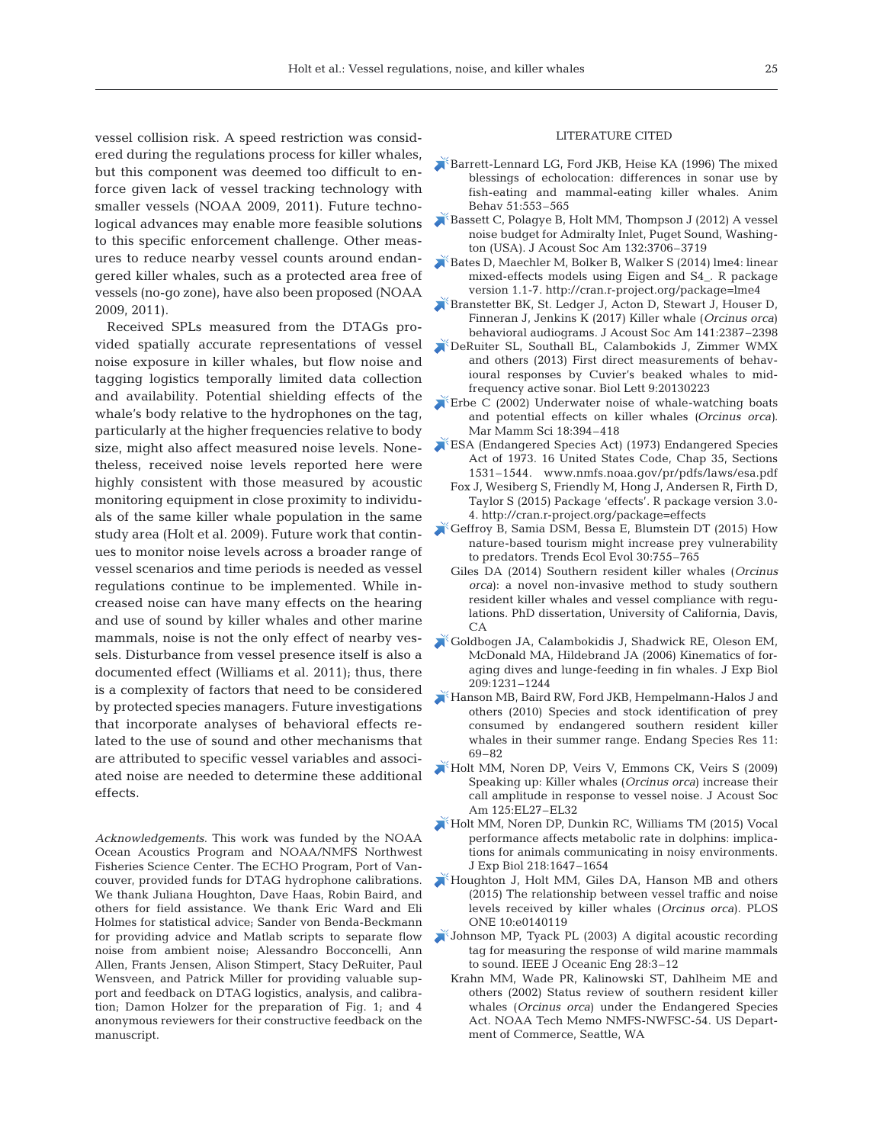vessel collision risk. A speed restriction was considered during the regulations process for killer whales, but this component was deemed too difficult to enforce given lack of vessel tracking technology with smaller vessels (NOAA 2009, 2011). Future technological advances may enable more feasible solutions to this specific enforcement challenge. Other measures to reduce nearby vessel counts around endangered killer whales, such as a protected area free of vessels (no-go zone), have also been proposed (NOAA 2009, 2011).

Received SPLs measured from the DTAGs provided spatially accurate representations of vessel noise exposure in killer whales, but flow noise and tagging logistics temporally limited data collection and availability. Potential shielding effects of the whale's body relative to the hydrophones on the tag, particularly at the higher frequencies relative to body size, might also affect measured noise levels. Nonetheless, received noise levels reported here were highly consistent with those measured by acoustic monitoring equipment in close proximity to individuals of the same killer whale population in the same study area (Holt et al. 2009). Future work that continues to monitor noise levels across a broader range of vessel scenarios and time periods is needed as vessel regulations continue to be implemented. While in creased noise can have many effects on the hearing and use of sound by killer whales and other marine mammals, noise is not the only effect of nearby vessels. Disturbance from vessel presence itself is also a documented effect (Williams et al. 2011); thus, there is a complexity of factors that need to be considered by protected species managers. Future investigations that incorporate analyses of behavioral effects re lated to the use of sound and other mechanisms that are attributed to specific vessel variables and associated noise are needed to determine these additional effects.

*Acknowledgements*. This work was funded by the NOAA Ocean Acoustics Program and NOAA/NMFS Northwest Fisheries Science Center. The ECHO Program, Port of Vancouver, provided funds for DTAG hydrophone calibrations. We thank Juliana Houghton, Dave Haas, Robin Baird, and others for field assistance. We thank Eric Ward and Eli Holmes for statistical advice; Sander von Benda-Beckmann for providing advice and Matlab scripts to separate flow noise from ambient noise; Alessandro Bocconcelli, Ann Allen, Frants Jensen, Alison Stimpert, Stacy DeRuiter, Paul Wensveen, and Patrick Miller for providing valuable support and feedback on DTAG logistics, analysis, and calibration; Damon Holzer for the preparation of Fig. 1; and 4 anonymous reviewers for their constructive feedback on the manuscript.

#### LITERATURE CITED

- [Barrett-Lennard LG, Ford JKB, Heise KA \(1996\) The mixed](https://doi.org/10.1006/anbe.1996.0059) blessings of echolocation: differences in sonar use by fish-eating and mammal-eating killer whales. Anim Behav 51:553-565
- [Bassett C, Polagye B, Holt MM, Thompson J \(2012\) A vessel](https://doi.org/10.1121/1.4763548) noise budget for Admiralty Inlet, Puget Sound, Washington (USA). J Acoust Soc Am 132:3706-3719
- [Bates D, Maechler M, Bolker B, Walker S \(2014\) lme4: linear](http://cran.r-project.org/package=lme4) mixed-effects models using Eigen and S4\_. R package version 1.1-7. http://cran.r-project.org/package=lme4
- [Branstetter BK, St. Ledger J, Acton D, Stewart J, Houser D,](https://doi.org/10.1121/1.4979116) Finneran J, Jenkins K (2017) Killer whale (*Orcinus orca*) behavioral audiograms. J Acoust Soc Am 141: 2387–2398
- [DeRuiter SL, Southall BL, Calambokids J, Zimmer WMX](https://doi.org/10.1098/rsbl.2013.0223) and others (2013) First direct measurements of behavioural responses by Cuvier's beaked whales to midfrequency active sonar. Biol Lett 9:20130223
- [Erbe C \(2002\) Underwater noise of whale-watching boats](https://doi.org/10.1111/j.1748-7692.2002.tb01045.x) and potential effects on killer whales *(Orcinus orca)*. Mar Mamm Sci 18:394-418
- [ESA \(Endangered Species Act\) \(1973\) Endangered Species](https://www.gpo.gov/fdsys/pkg/USCODE-2012-title16/html/USCODE-2012-title16-chap35-sec1531.htm) Act of 1973. 16 United States Code, Chap 35, Sections 1531–1544. www.nmfs.noaa.gov/pr/pdfs/laws/esa.pdf
	- Fox J, Wesiberg S, Friendly M, Hong J, Andersen R, Firth D, Taylor S (2015) Package 'effects'. R package version 3.0- 4. http: //cran.r-project.org/package=effects
- [Geffroy B, Samia DSM, Bessa E, Blumstein DT \(2015\) How](https://doi.org/10.1016/j.tree.2015.09.010) nature-based tourism might increase prey vulnerability to predators. Trends Ecol Evol 30:755-765
	- Giles DA (2014) Southern resident killer whales (*Orcinus orca*): a novel non-invasive method to study southern resident killer whales and vessel compliance with regulations. PhD dissertation, University of California, Davis, CA
- [Goldbogen JA, Calambokidis J, Shadwick RE, Oleson EM,](https://doi.org/10.1242/jeb.02135) McDonald MA, Hildebrand JA (2006) Kinematics of foraging dives and lunge-feeding in fin whales. J Exp Biol 209: 1231–1244
- [Hanson MB, Baird RW, Ford JKB, Hempelmann-Halos J and](https://doi.org/10.3354/esr00263) others (2010) Species and stock identification of prey consumed by endangered southern resident killer whales in their summer range. Endang Species Res 11: 69–82
- [Holt MM, Noren DP, Veirs V, Emmons CK, Veirs S \(2009\)](https://doi.org/10.1121/1.3040028) Speaking up: Killer whales (*Orcinus orca*) increase their call amplitude in response to vessel noise. J Acoust Soc Am 125:EL27-EL32
- [Holt MM, Noren DP, Dunkin RC, Williams TM \(2015\) Vocal](https://doi.org/10.1242/jeb.122424) performance affects metabolic rate in dolphins: implications for animals communicating in noisy environments. J Exp Biol 218: 1647–1654
- [Houghton J, Holt MM, Giles DA, Hanson MB and others](https://doi.org/10.1371/journal.pone.0140119) (2015) The relationship between vessel traffic and noise levels received by killer whales (*Orcinus orca*). PLOS ONE 10:e0140119
- [Johnson MP, Tyack PL \(2003\) A digital acoustic recording](https://doi.org/10.1109/JOE.2002.808212) tag for measuring the response of wild marine mammals to sound. IEEE J Oceanic Eng 28:3-12
	- Krahn MM, Wade PR, Kalinowski ST, Dahlheim ME and others (2002) Status review of southern resident killer whales (*Orcinus orca*) under the Endangered Species Act. NOAA Tech Memo NMFS-NWFSC-54. US Department of Commerce, Seattle, WA